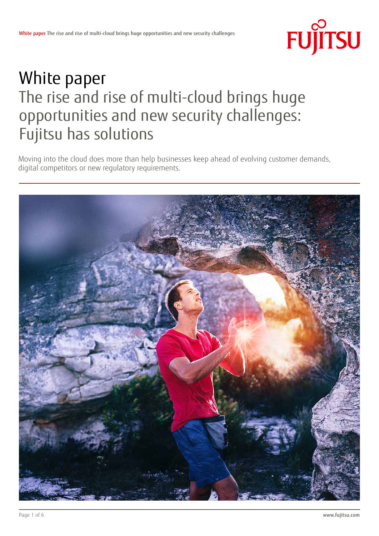

# White paper The rise and rise of multi-cloud brings huge opportunities and new security challenges: Fujitsu has solutions

Moving into the cloud does more than help businesses keep ahead of evolving customer demands, digital competitors or new regulatory requirements.

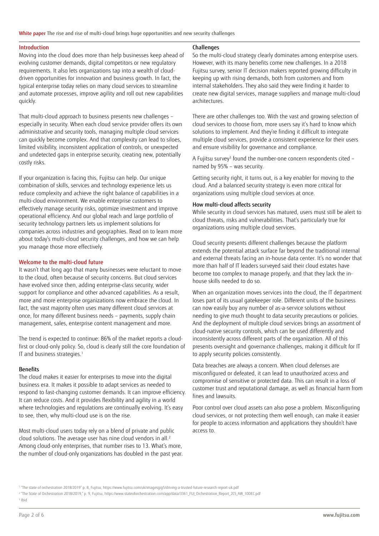White paper The rise and rise of multi-cloud brings huge opportunities and new security challenges

#### Introduction

Moving into the cloud does more than help businesses keep ahead of evolving customer demands, digital competitors or new regulatory requirements. It also lets organizations tap into a wealth of clouddriven opportunities for innovation and business growth. In fact, the typical enterprise today relies on many cloud services to streamline and automate processes, improve agility and roll out new capabilities quickly.

That multi-cloud approach to business presents new challenges – especially in security. When each cloud service provider offers its own administrative and security tools, managing multiple cloud services can quickly become complex. And that complexity can lead to siloes, limited visibility, inconsistent application of controls, or unexpected and undetected gaps in enterprise security, creating new, potentially costly risks.

If your organization is facing this, Fujitsu can help. Our unique combination of skills, services and technology experience lets us reduce complexity and achieve the right balance of capabilities in a multi-cloud environment. We enable enterprise customers to effectively manage security risks, optimize investment and improve operational efficiency. And our global reach and large portfolio of security technology partners lets us implement solutions for companies across industries and geographies. Read on to learn more about today's multi-cloud security challenges, and how we can help you manage those more effectively.

# Welcome to the multi-cloud future

It wasn't that long ago that many businesses were reluctant to move to the cloud, often because of security concerns. But cloud services have evolved since then, adding enterprise-class security, wider support for compliance and other advanced capabilities. As a result, more and more enterprise organizations now embrace the cloud. In fact, the vast majority often uses many different cloud services at once, for many different business needs – payments, supply chain management, sales, enterprise content management and more.

The trend is expected to continue: 86% of the market reports a cloudfirst or cloud-only policy. So, cloud is clearly still the core foundation of IT and business strategies.<sup>1</sup>

### **Benefits**

The cloud makes it easier for enterprises to move into the digital business era. It makes it possible to adapt services as needed to respond to fast-changing customer demands. It can improve efficiency. It can reduce costs. And it provides flexibility and agility in a world where technologies and regulations are continually evolving. It's easy to see, then, why multi-cloud use is on the rise.

Most multi-cloud users today rely on a blend of private and public cloud solutions. The average user has nine cloud vendors in all.2 Among cloud-only enterprises, that number rises to 13. What's more, the number of cloud-only organizations has doubled in the past year.

# Challenges

So the multi-cloud strategy clearly dominates among enterprise users. However, with its many benefits come new challenges. In a 2018 Fujitsu survey, senior IT decision makers reported growing difficulty in keeping up with rising demands, both from customers and from internal stakeholders. They also said they were finding it harder to create new digital services, manage suppliers and manage multi-cloud architectures.

There are other challenges too. With the vast and growing selection of cloud services to choose from, more users say it's hard to know which solutions to implement. And they're finding it difficult to integrate multiple cloud services, provide a consistent experience for their users and ensure visibility for governance and compliance.

A Fujitsu survey<sup>3</sup> found the number-one concern respondents cited – named by 95% – was security.

Getting security right, it turns out, is a key enabler for moving to the cloud. And a balanced security strategy is even more critical for organizations using multiple cloud services at once.

## How multi-cloud affects security

While security in cloud services has matured, users must still be alert to cloud threats, risks and vulnerabilities. That's particularly true for organizations using multiple cloud services.

Cloud security presents different challenges because the platform extends the potential attack surface far beyond the traditional internal and external threats facing an in-house data center. It's no wonder that more than half of IT leaders surveyed said their cloud estates have become too complex to manage properly, and that they lack the inhouse skills needed to do so.

When an organization moves services into the cloud, the IT department loses part of its usual gatekeeper role. Different units of the business can now easily buy any number of as-a-service solutions without needing to give much thought to data security precautions or policies. And the deployment of multiple cloud services brings an assortment of cloud-native security controls, which can be used differently and inconsistently across different parts of the organization. All of this presents oversight and governance challenges, making it difficult for IT to apply security policies consistently.

Data breaches are always a concern. When cloud defenses are misconfigured or defeated, it can lead to unauthorized access and compromise of sensitive or protected data. This can result in a loss of customer trust and reputational damage, as well as financial harm from fines and lawsuits.

Poor control over cloud assets can also pose a problem. Misconfiguring cloud services, or not protecting them well enough, can make it easier for people to access information and applications they shouldn't have access to.

3 Ibid

<sup>1</sup> "The state of orchestration 2018/2019" p. 8, Fujitsu, https://www.fujitsu.com/uk/imagesgig5/driving-a-trusted-future-research-report-uk.pdf

<sup>2</sup> "The State of Orchestration 2018/2019," p. 9, Fujitsu, https://www.stateoforchestration.com/app/data/3361\_FUJ\_Orchestration\_Report\_2CS\_AW\_10DEC.pdf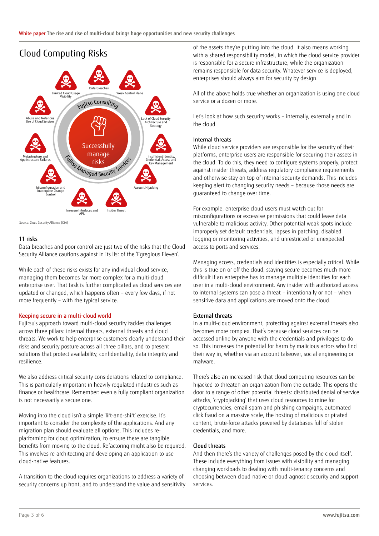

Source: Cloud Security Alliance (CSA)

# 11 risks

Data breaches and poor control are just two of the risks that the Cloud Security Alliance cautions against in its list of the 'Egregious Eleven'.

While each of these risks exists for any individual cloud service, managing them becomes far more complex for a multi-cloud enterprise user. That task is further complicated as cloud services are updated or changed, which happens often – every few days, if not more frequently – with the typical service.

### Keeping secure in a multi-cloud world

Fujitsu's approach toward multi-cloud security tackles challenges across three pillars: internal threats, external threats and cloud threats. We work to help enterprise customers clearly understand their risks and security posture across all three pillars, and to present solutions that protect availability, confidentiality, data integrity and resilience.

We also address critical security considerations related to compliance. This is particularly important in heavily regulated industries such as finance or healthcare. Remember: even a fully compliant organization is not necessarily a secure one.

Moving into the cloud isn't a simple 'lift-and-shift' exercise. It's important to consider the complexity of the applications. And any migration plan should evaluate all options. This includes replatforming for cloud optimization, to ensure there are tangible benefits from moving to the cloud. Refactoring might also be required. This involves re-architecting and developing an application to use cloud-native features.

A transition to the cloud requires organizations to address a variety of security concerns up front, and to understand the value and sensitivity

of the assets they're putting into the cloud. It also means working with a shared responsibility model, in which the cloud service provider is responsible for a secure infrastructure, while the organization remains responsible for data security. Whatever service is deployed, enterprises should always aim for security by design.

All of the above holds true whether an organization is using one cloud service or a dozen or more.

Let's look at how such security works – internally, externally and in the cloud.

### Internal threats

While cloud service providers are responsible for the security of their platforms, enterprise users are responsible for securing their assets in the cloud. To do this, they need to configure systems properly, protect against insider threats, address regulatory compliance requirements and otherwise stay on top of internal security demands. This includes keeping alert to changing security needs – because those needs are guaranteed to change over time.

For example, enterprise cloud users must watch out for misconfigurations or excessive permissions that could leave data vulnerable to malicious activity. Other potential weak spots include improperly set default credentials, lapses in patching, disabled logging or monitoring activities, and unrestricted or unexpected access to ports and services.

Managing access, credentials and identities is especially critical. While this is true on or off the cloud, staying secure becomes much more difficult if an enterprise has to manage multiple identities for each user in a multi-cloud environment. Any insider with authorized access to internal systems can pose a threat – intentionally or not – when sensitive data and applications are moved onto the cloud.

### External threats

In a multi-cloud environment, protecting against external threats also becomes more complex. That's because cloud services can be accessed online by anyone with the credentials and privileges to do so. This increases the potential for harm by malicious actors who find their way in, whether via an account takeover, social engineering or malware.

There's also an increased risk that cloud computing resources can be hijacked to threaten an organization from the outside. This opens the door to a range of other potential threats: distributed denial of service attacks, 'cryptojacking' that uses cloud resources to mine for cryptocurrencies, email spam and phishing campaigns, automated click fraud on a massive scale, the hosting of malicious or pirated content, brute-force attacks powered by databases full of stolen credentials, and more.

## Cloud threats

And then there's the variety of challenges posed by the cloud itself. These include everything from issues with visibility and managing changing workloads to dealing with multi-tenancy concerns and choosing between cloud-native or cloud-agnostic security and support services.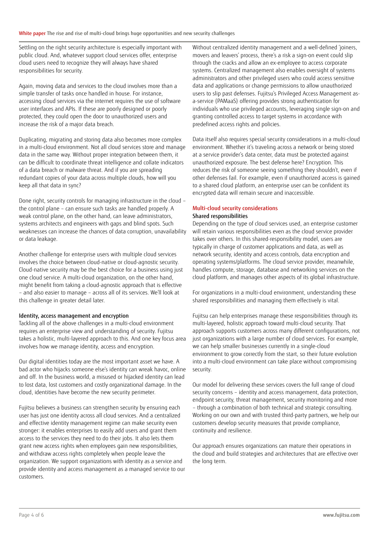Settling on the right security architecture is especially important with public cloud. And, whatever support cloud services offer, enterprise cloud users need to recognize they will always have shared responsibilities for security.

Again, moving data and services to the cloud involves more than a simple transfer of tasks once handled in house. For instance, accessing cloud services via the internet requires the use of software user interfaces and APIs. If these are poorly designed or poorly protected, they could open the door to unauthorized users and increase the risk of a major data breach.

Duplicating, migrating and storing data also becomes more complex in a multi-cloud environment. Not all cloud services store and manage data in the same way. Without proper integration between them, it can be difficult to coordinate threat intelligence and collate indicators of a data breach or malware threat. And if you are spreading redundant copies of your data across multiple clouds, how will you keep all that data in sync?

Done right, security controls for managing infrastructure in the cloud – the control plane – can ensure such tasks are handled properly. A weak control plane, on the other hand, can leave administrators, systems architects and engineers with gaps and blind spots. Such weaknesses can increase the chances of data corruption, unavailability or data leakage.

Another challenge for enterprise users with multiple cloud services involves the choice between cloud-native or cloud-agnostic security. Cloud-native security may be the best choice for a business using just one cloud service. A multi-cloud organization, on the other hand, might benefit from taking a cloud-agnostic approach that is effective – and also easier to manage – across all of its services. We'll look at this challenge in greater detail later.

# Identity, access management and encryption

Tackling all of the above challenges in a multi-cloud environment requires an enterprise view and understanding of security. Fujitsu takes a holistic, multi-layered approach to this. And one key focus area involves how we manage identity, access and encryption.

Our digital identities today are the most important asset we have. A bad actor who hijacks someone else's identity can wreak havoc, online and off. In the business world, a misused or hijacked identity can lead to lost data, lost customers and costly organizational damage. In the cloud, identities have become the new security perimeter.

Fujitsu believes a business can strengthen security by ensuring each user has just one identity across all cloud services. And a centralized and effective identity management regime can make security even stronger: it enables enterprises to easily add users and grant them access to the services they need to do their jobs. It also lets them grant new access rights when employees gain new responsibilities, and withdraw access rights completely when people leave the organization. We support organizations with identity as a service and provide identity and access management as a managed service to our customers.

Without centralized identity management and a well-defined 'joiners, movers and leavers' process, there's a risk a sign-on event could slip through the cracks and allow an ex-employee to access corporate systems. Centralized management also enables oversight of systems administrators and other privileged users who could access sensitive data and applications or change permissions to allow unauthorized users to slip past defenses. Fujitsu's Privileged Access Management asa-service (PAMaaS) offering provides strong authentication for individuals who use privileged accounts, leveraging single sign-on and granting controlled access to target systems in accordance with predefined access rights and policies.

Data itself also requires special security considerations in a multi-cloud environment. Whether it's traveling across a network or being stored at a service provider's data center, data must be protected against unauthorized exposure. The best defense here? Encryption. This reduces the risk of someone seeing something they shouldn't, even if other defenses fail. For example, even if unauthorized access is gained to a shared cloud platform, an enterprise user can be confident its encrypted data will remain secure and inaccessible.

### Multi-cloud security considerations Shared responsibilities

Depending on the type of cloud services used, an enterprise customer will retain various responsibilities even as the cloud service provider takes over others. In this shared-responsibility model, users are typically in charge of customer applications and data, as well as network security, identity and access controls, data encryption and operating systems/platforms. The cloud service provider, meanwhile, handles compute, storage, database and networking services on the cloud platform, and manages other aspects of its global infrastructure.

For organizations in a multi-cloud environment, understanding these shared responsibilities and managing them effectively is vital.

Fujitsu can help enterprises manage these responsibilities through its multi-layered, holistic approach toward multi-cloud security. That approach supports customers across many different configurations, not just organizations with a large number of cloud services. For example, we can help smaller businesses currently in a single-cloud environment to grow correctly from the start, so their future evolution into a multi-cloud environment can take place without compromising security.

Our model for delivering these services covers the full range of cloud security concerns – identity and access management, data protection, endpoint security, threat management, security monitoring and more – through a combination of both technical and strategic consulting. Working on our own and with trusted third-party partners, we help our customers develop security measures that provide compliance, continuity and resilience.

Our approach ensures organizations can mature their operations in the cloud and build strategies and architectures that are effective over the long term.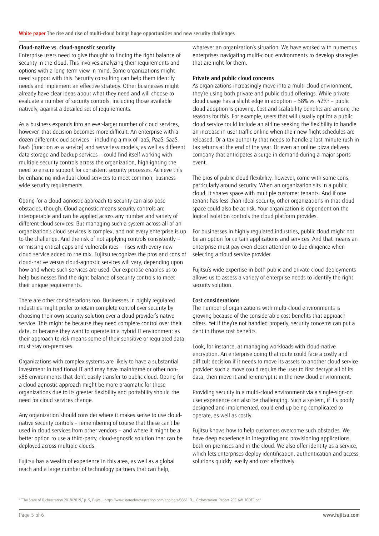White paper The rise and rise of multi-cloud brings huge opportunities and new security challenges

#### Cloud-native vs. cloud-agnostic security

Enterprise users need to give thought to finding the right balance of security in the cloud. This involves analyzing their requirements and options with a long-term view in mind. Some organizations might need support with this. Security consulting can help them identify needs and implement an effective strategy. Other businesses might already have clear ideas about what they need and will choose to evaluate a number of security controls, including those available natively, against a detailed set of requirements.

As a business expands into an ever-larger number of cloud services, however, that decision becomes more difficult. An enterprise with a dozen different cloud services – including a mix of IaaS, PaaS, SaaS, FaaS (function as a service) and serverless models, as well as different data storage and backup services – could find itself working with multiple security controls across the organization, highlighting the need to ensure support for consistent security processes. Achieve this by enhancing individual cloud services to meet common, businesswide security requirements.

Opting for a cloud-agnostic approach to security can also pose obstacles, though. Cloud-agnostic means security controls are interoperable and can be applied across any number and variety of different cloud services. But managing such a system across all of an organization's cloud services is complex, and not every enterprise is up to the challenge. And the risk of not applying controls consistently – or missing critical gaps and vulnerabilities – rises with every new cloud service added to the mix. Fujitsu recognizes the pros and cons of cloud-native versus cloud-agnostic services will vary, depending upon how and where such services are used. Our expertise enables us to help businesses find the right balance of security controls to meet their unique requirements.

There are other considerations too. Businesses in highly regulated industries might prefer to retain complete control over security by choosing their own security solution over a cloud provider's native service. This might be because they need complete control over their data, or because they want to operate in a hybrid IT environment as their approach to risk means some of their sensitive or regulated data must stay on-premises.

Organizations with complex systems are likely to have a substantial investment in traditional IT and may have mainframe or other nonx86 environments that don't easily transfer to public cloud. Opting for a cloud-agnostic approach might be more pragmatic for these organizations due to its greater flexibility and portability should the need for cloud services change.

Any organization should consider where it makes sense to use cloudnative security controls – remembering of course that these can't be used in cloud services from other vendors – and where it might be a better option to use a third-party, cloud-agnostic solution that can be deployed across multiple clouds.

Fujitsu has a wealth of experience in this area, as well as a global reach and a large number of technology partners that can help,

whatever an organization's situation. We have worked with numerous enterprises navigating multi-cloud environments to develop strategies that are right for them.

## Private and public cloud concerns

As organizations increasingly move into a multi-cloud environment, they're using both private and public cloud offerings. While private cloud usage has a slight edge in adoption – 58% vs. 42%4 – public cloud adoption is growing. Cost and scalability benefits are among the reasons for this. For example, users that will usually opt for a public cloud service could include an airline seeking the flexibility to handle an increase in user traffic online when their new flight schedules are released. Or a tax authority that needs to handle a last-minute rush in tax returns at the end of the year. Or even an online pizza delivery company that anticipates a surge in demand during a major sports event.

The pros of public cloud flexibility, however, come with some cons, particularly around security. When an organization sits in a public cloud, it shares space with multiple customer tenants. And if one tenant has less-than-ideal security, other organizations in that cloud space could also be at risk. Your organization is dependent on the logical isolation controls the cloud platform provides.

For businesses in highly regulated industries, public cloud might not be an option for certain applications and services. And that means an enterprise must pay even closer attention to due diligence when selecting a cloud service provider.

Fujitsu's wide expertise in both public and private cloud deployments allows us to assess a variety of enterprise needs to identify the right security solution.

# Cost considerations

The number of organizations with multi-cloud environments is growing because of the considerable cost benefits that approach offers. Yet if they're not handled properly, security concerns can put a dent in those cost benefits.

Look, for instance, at managing workloads with cloud-native encryption. An enterprise going that route could face a costly and difficult decision if it needs to move its assets to another cloud service provider: such a move could require the user to first decrypt all of its data, then move it and re-encrypt it in the new cloud environment.

Providing security in a multi-cloud environment via a single-sign-on user experience can also be challenging. Such a system, if it's poorly designed and implemented, could end up being complicated to operate, as well as costly.

Fujitsu knows how to help customers overcome such obstacles. We have deep experience in integrating and provisioning applications, both on premises and in the cloud. We also offer identity as a service, which lets enterprises deploy identification, authentication and access solutions quickly, easily and cost effectively.

4 "The State of Orchestration 2018/2019," p. 5, Fujitsu, https://www.stateoforchestration.com/app/data/3361\_FUJ\_Orchestration\_Report\_2CS\_AW\_10DEC.pdf